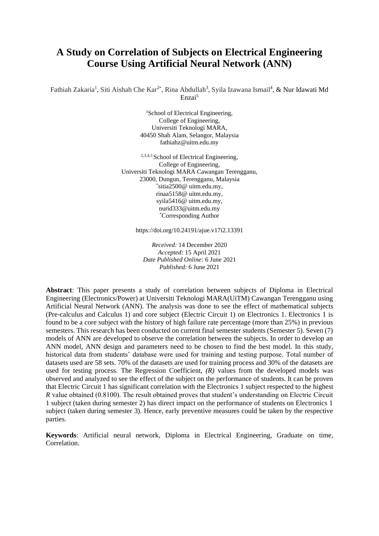# **A Study on Correlation of Subjects on Electrical Engineering Course Using Artificial Neural Network (ANN)**

Fathiah Zakaria<sup>1</sup>, Siti Aishah Che Kar<sup>2\*</sup>, Rina Abdullah<sup>3</sup>, Syila Izawana Ismail<sup>4</sup>, & Nur Idawati Md Enzai<sup>5</sup>

> <sup>1</sup>School of Electrical Engineering, College of Engineering, Universiti Teknologi MARA, 40450 Shah Alam, Selangor, Malaysia fathiahz@uitm.edu.my

<sup>2,3,4,5</sup> School of Electrical Engineering, College of Engineering, Universiti Teknologi MARA Cawangan Terengganu, 23000, Dungun, Terengganu, Malaysia \* sitia2500@ uitm.edu.my, rinaa5158@ uitm.edu.my, syila5416@ uitm.edu.my, nurid333@uitm.edu.my \*Corresponding Author

https://doi.org/10.24191/ajue.v17i2.13391

*Received:* 14 December 2020 *Accepted:* 15 April 2021 *Date Published Online:* 6 June 2021 *Published:* 6 June 2021

**Abstract**: This paper presents a study of correlation between subjects of Diploma in Electrical Engineering (Electronics/Power) at Universiti Teknologi MARA(UiTM) Cawangan Terengganu using Artificial Neural Network (ANN). The analysis was done to see the effect of mathematical subjects (Pre-calculus and Calculus 1) and core subject (Electric Circuit 1) on Electronics 1. Electronics 1 is found to be a core subject with the history of high failure rate percentage (more than 25%) in previous semesters. This research has been conducted on current final semester students (Semester 5). Seven (7) models of ANN are developed to observe the correlation between the subjects. In order to develop an ANN model, ANN design and parameters need to be chosen to find the best model. In this study, historical data from students' database were used for training and testing purpose. Total number of datasets used are 58 sets. 70% of the datasets are used for training process and 30% of the datasets are used for testing process. The Regression Coefficient, *(R)* values from the developed models was observed and analyzed to see the effect of the subject on the performance of students. It can be proven that Electric Circuit 1 has significant correlation with the Electronics 1 subject respected to the highest *R* value obtained (0.8100). The result obtained proves that student's understanding on Electric Circuit 1 subject (taken during semester 2) has direct impact on the performance of students on Electronics 1 subject (taken during semester 3). Hence, early preventive measures could be taken by the respective parties.

**Keywords**: Artificial neural network, Diploma in Electrical Engineering, Graduate on time, Correlation.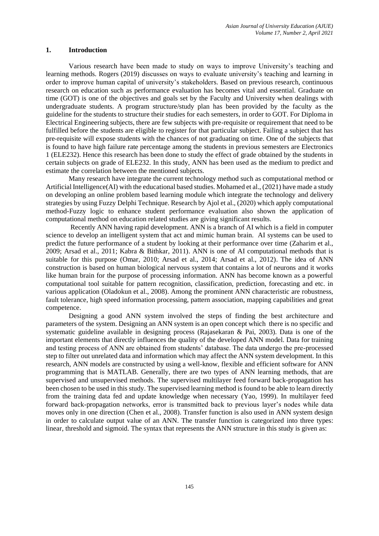#### **1. Introduction**

Various research have been made to study on ways to improve University's teaching and learning methods. Rogers (2019) discusses on ways to evaluate university's teaching and learning in order to improve human capital of university's stakeholders. Based on previous research, continuous research on education such as performance evaluation has becomes vital and essential. Graduate on time (GOT) is one of the objectives and goals set by the Faculty and University when dealings with undergraduate students. A program structure/study plan has been provided by the faculty as the guideline for the students to structure their studies for each semesters, in order to GOT. For Diploma in Electrical Engineering subjects, there are few subjects with pre-requisite or requirement that need to be fulfilled before the students are eligible to register for that particular subject. Failing a subject that has pre-requisite will expose students with the chances of not graduating on time. One of the subjects that is found to have high failure rate percentage among the students in previous semesters are Electronics 1 (ELE232). Hence this research has been done to study the effect of grade obtained by the students in certain subjects on grade of ELE232. In this study, ANN has been used as the medium to predict and estimate the correlation between the mentioned subjects.

Many research have integrate the current technology method such as computational method or Artificial Intelligence(AI) with the educational based studies. Mohamed et al., (2021) have made a study on developing an online problem based learning module which integrate the technology and delivery strategies by using Fuzzy Delphi Technique. Research by Ajol et al., (2020) which apply computational method-Fuzzy logic to enhance student performance evaluation also shown the application of computational method on education related studies are giving significant results.

Recently ANN having rapid development. ANN is a branch of AI which is a field in computer science to develop an intelligent system that act and mimic human brain. AI systems can be used to predict the future performance of a student by looking at their performance over time (Zaharim et al., 2009; Arsad et al., 2011; Kabra & Bithkar, 2011). ANN is one of AI computational methods that is suitable for this purpose (Omar, 2010; Arsad et al., 2014; Arsad et al., 2012). The idea of ANN construction is based on human biological nervous system that contains a lot of neurons and it works like human brain for the purpose of processing information. ANN has become known as a powerful computational tool suitable for pattern recognition, classification, prediction, forecasting and etc. in various application (Oladokun et al., 2008). Among the prominent ANN characteristic are robustness, fault tolerance, high speed information processing, pattern association, mapping capabilities and great competence.

Designing a good ANN system involved the steps of finding the best architecture and parameters of the system. Designing an ANN system is an open concept which there is no specific and systematic guideline available in designing process (Rajasekaran & Pai, 2003). Data is one of the important elements that directly influences the quality of the developed ANN model. Data for training and testing process of ANN are obtained from students' database. The data undergo the pre-processed step to filter out unrelated data and information which may affect the ANN system development. In this research, ANN models are constructed by using a well-know, flexible and efficient software for ANN programming that is MATLAB. Generally, there are two types of ANN learning methods, that are supervised and unsupervised methods. The supervised multilayer feed forward back-propagation has been chosen to be used in this study. The supervised learning method is found to be able to learn directly from the training data fed and update knowledge when necessary (Yao, 1999). In multilayer feed forward back-propagation networks, error is transmitted back to previous layer's nodes while data moves only in one direction (Chen et al., 2008). Transfer function is also used in ANN system design in order to calculate output value of an ANN. The transfer function is categorized into three types: linear, threshold and sigmoid. The syntax that represents the ANN structure in this study is given as: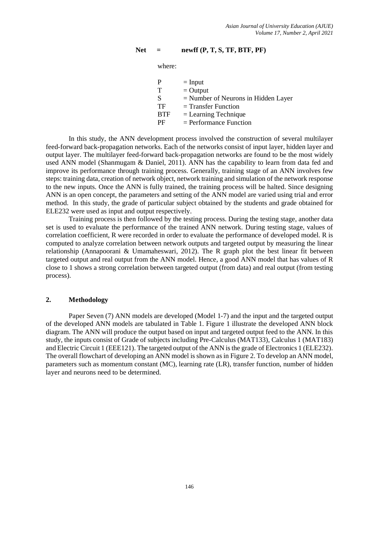# **Net = newff (P, T, S, TF, BTF, PF)**

where:

|            | $=$ Input                             |
|------------|---------------------------------------|
| т          | $=$ Output                            |
| S          | $=$ Number of Neurons in Hidden Layer |
| TF         | $=$ Transfer Function                 |
| <b>BTF</b> | $=$ Learning Technique                |
| РF         | $=$ Performance Function              |

In this study, the ANN development process involved the construction of several multilayer feed-forward back-propagation networks. Each of the networks consist of input layer, hidden layer and output layer. The multilayer feed-forward back-propagation networks are found to be the most widely used ANN model (Shanmugam & Daniel, 2011). ANN has the capability to learn from data fed and improve its performance through training process. Generally, training stage of an ANN involves few steps: training data, creation of network object, network training and simulation of the network response to the new inputs. Once the ANN is fully trained, the training process will be halted. Since designing ANN is an open concept, the parameters and setting of the ANN model are varied using trial and error method. In this study, the grade of particular subject obtained by the students and grade obtained for ELE232 were used as input and output respectively.

Training process is then followed by the testing process. During the testing stage, another data set is used to evaluate the performance of the trained ANN network. During testing stage, values of correlation coefficient, R were recorded in order to evaluate the performance of developed model. R is computed to analyze correlation between network outputs and targeted output by measuring the linear relationship (Annapoorani & Umamaheswari, 2012). The R graph plot the best linear fit between targeted output and real output from the ANN model. Hence, a good ANN model that has values of R close to 1 shows a strong correlation between targeted output (from data) and real output (from testing process).

# **2. Methodology**

Paper Seven (7) ANN models are developed (Model 1-7) and the input and the targeted output of the developed ANN models are tabulated in Table 1. Figure 1 illustrate the developed ANN block diagram. The ANN will produce the output based on input and targeted output feed to the ANN. In this study, the inputs consist of Grade of subjects including Pre-Calculus (MAT133), Calculus 1 (MAT183) and Electric Circuit 1 (EEE121). The targeted output of the ANN is the grade of Electronics 1 (ELE232). The overall flowchart of developing an ANN model is shown as in Figure 2. To develop an ANN model, parameters such as momentum constant (MC), learning rate (LR), transfer function, number of hidden layer and neurons need to be determined.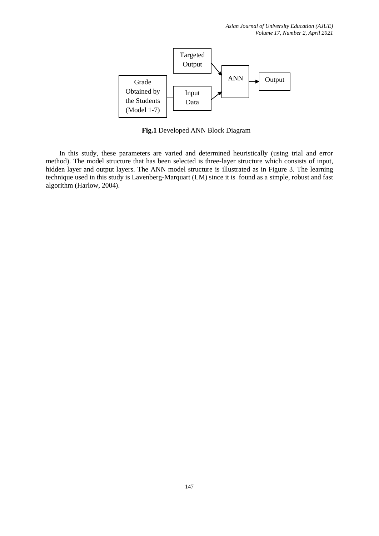

**Fig.1** Developed ANN Block Diagram

In this study, these parameters are varied and determined heuristically (using trial and error method). The model structure that has been selected is three-layer structure which consists of input, hidden layer and output layers. The ANN model structure is illustrated as in Figure 3. The learning technique used in this study is Lavenberg-Marquart (LM) since it is found as a simple, robust and fast algorithm (Harlow, 2004).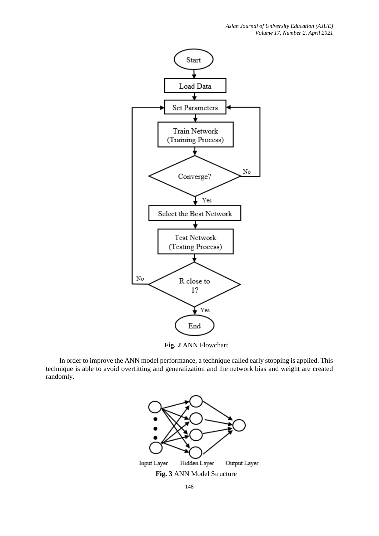

**Fig. 2** ANN Flowchart

In order to improve the ANN model performance, a technique called early stopping is applied. This technique is able to avoid overfitting and generalization and the network bias and weight are created randomly.

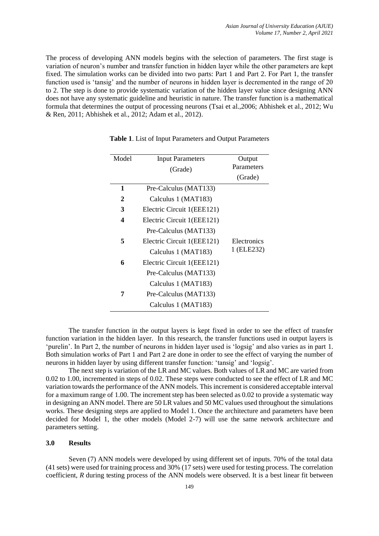The process of developing ANN models begins with the selection of parameters. The first stage is variation of neuron's number and transfer function in hidden layer while the other parameters are kept fixed. The simulation works can be divided into two parts: Part 1 and Part 2. For Part 1, the transfer function used is 'tansig' and the number of neurons in hidden layer is decremented in the range of 20 to 2. The step is done to provide systematic variation of the hidden layer value since designing ANN does not have any systematic guideline and heuristic in nature. The transfer function is a mathematical formula that determines the output of processing neurons (Tsai et al.,2006; Abhishek et al., 2012; Wu & Ren, 2011; Abhishek et al., 2012; Adam et al., 2012).

| Model            | <b>Input Parameters</b>    | Output      |
|------------------|----------------------------|-------------|
|                  | (Grade)                    | Parameters  |
|                  |                            | (Grade)     |
| 1                | Pre-Calculus (MAT133)      |             |
| $\mathbf{2}$     | Calculus 1 (MAT183)        |             |
| 3                | Electric Circuit 1(EEE121) |             |
| $\boldsymbol{4}$ | Electric Circuit 1(EEE121) |             |
|                  | Pre-Calculus (MAT133)      |             |
| 5                | Electric Circuit 1(EEE121) | Electronics |
|                  | Calculus 1 (MAT183)        | 1 (ELE232)  |
| 6                | Electric Circuit 1(EEE121) |             |
|                  | Pre-Calculus (MAT133)      |             |
|                  | Calculus 1 (MAT183)        |             |
| 7                | Pre-Calculus (MAT133)      |             |
|                  | Calculus 1 (MAT183)        |             |

**Table 1**. List of Input Parameters and Output Parameters

The transfer function in the output layers is kept fixed in order to see the effect of transfer function variation in the hidden layer. In this research, the transfer functions used in output layers is 'purelin'. In Part 2, the number of neurons in hidden layer used is 'logsig' and also varies as in part 1. Both simulation works of Part 1 and Part 2 are done in order to see the effect of varying the number of neurons in hidden layer by using different transfer function: 'tansig' and 'logsig'.

The next step is variation of the LR and MC values. Both values of LR and MC are varied from 0.02 to 1.00, incremented in steps of 0.02. These steps were conducted to see the effect of LR and MC variation towards the performance of the ANN models. This increment is considered acceptable interval for a maximum range of 1.00. The increment step has been selected as 0.02 to provide a systematic way in designing an ANN model. There are 50 LR values and 50 MC values used throughout the simulations works. These designing steps are applied to Model 1. Once the architecture and parameters have been decided for Model 1, the other models (Model 2-7) will use the same network architecture and parameters setting.

### **3.0 Results**

Seven (7) ANN models were developed by using different set of inputs. 70% of the total data (41 sets) were used for training process and 30% (17 sets) were used for testing process. The correlation coefficient, *R* during testing process of the ANN models were observed. It is a best linear fit between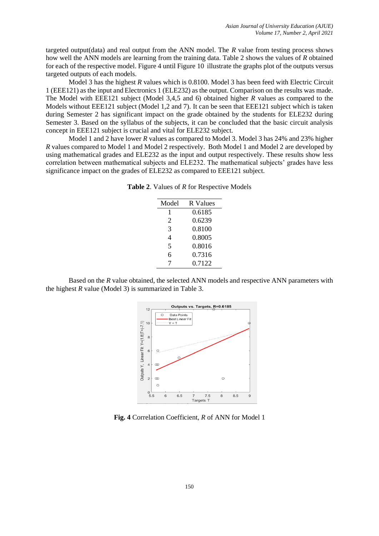targeted output(data) and real output from the ANN model. The *R* value from testing process shows how well the ANN models are learning from the training data. Table 2 shows the values of *R* obtained for each of the respective model. Figure 4 until Figure 10 illustrate the graphs plot of the outputs versus targeted outputs of each models.

Model 3 has the highest *R* values which is 0.8100. Model 3 has been feed with Electric Circuit 1 (EEE121) as the input and Electronics 1 (ELE232) as the output. Comparison on the results was made. The Model with EEE121 subject (Model 3,4,5 and 6) obtained higher *R* values as compared to the Models without EEE121 subject (Model 1,2 and 7). It can be seen that EEE121 subject which is taken during Semester 2 has significant impact on the grade obtained by the students for ELE232 during Semester 3. Based on the syllabus of the subjects, it can be concluded that the basic circuit analysis concept in EEE121 subject is crucial and vital for ELE232 subject.

Model 1 and 2 have lower *R* values as compared to Model 3. Model 3 has 24% and 23% higher *R* values compared to Model 1 and Model 2 respectively. Both Model 1 and Model 2 are developed by using mathematical grades and ELE232 as the input and output respectively. These results show less correlation between mathematical subjects and ELE232. The mathematical subjects' grades have less significance impact on the grades of ELE232 as compared to EEE121 subject.

| Model | R Values |
|-------|----------|
| 1     | 0.6185   |
| 2     | 0.6239   |
| 3     | 0.8100   |
| 4     | 0.8005   |
| 5     | 0.8016   |
| 6     | 0.7316   |
|       | 0.7122   |

Based on the *R* value obtained, the selected ANN models and respective ANN parameters with the highest *R* value (Model 3) is summarized in Table 3.



**Fig. 4** Correlation Coefficient, *R* of ANN for Model 1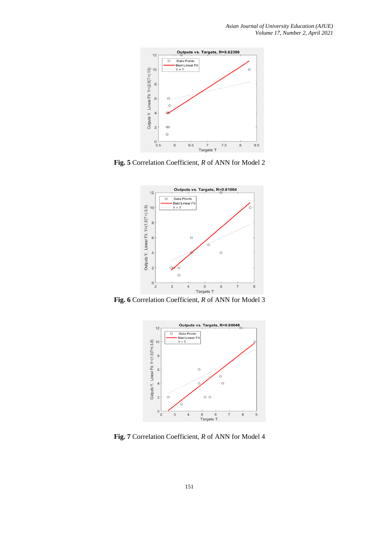

**Fig. 5** Correlation Coefficient, *R* of ANN for Model 2



**Fig. 6** Correlation Coefficient, *R* of ANN for Model 3



**Fig. 7** Correlation Coefficient, *R* of ANN for Model 4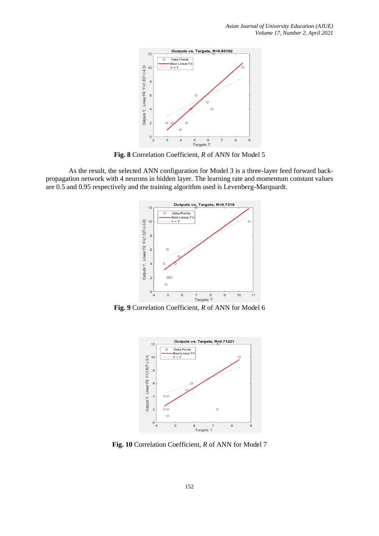

**Fig. 8** Correlation Coefficient, *R* of ANN for Model 5

As the result, the selected ANN configuration for Model 3 is a three-layer feed forward backpropagation network with 4 neurons in hidden layer. The learning rate and momentum constant values are 0.5 and 0.95 respectively and the training algorithm used is Levenberg-Marquardt.



**Fig. 9** Correlation Coefficient, *R* of ANN for Model 6



**Fig. 10** Correlation Coefficient, *R* of ANN for Model 7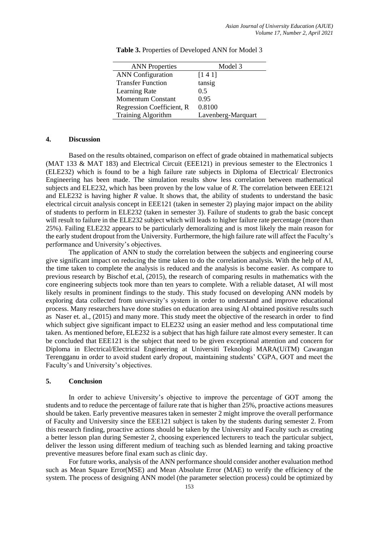| <b>ANN</b> Properties     | Model 3            |
|---------------------------|--------------------|
| <b>ANN</b> Configuration  | [141]              |
| <b>Transfer Function</b>  | tansig             |
| Learning Rate             | 0.5                |
| <b>Momentum Constant</b>  | 0.95               |
| Regression Coefficient, R | 0.8100             |
| <b>Training Algorithm</b> | Lavenberg-Marquart |

**Table 3.** Properties of Developed ANN for Model 3

#### **4. Discussion**

Based on the results obtained, comparison on effect of grade obtained in mathematical subjects (MAT 133 & MAT 183) and Electrical Circuit (EEE121) in previous semester to the Electronics 1 (ELE232) which is found to be a high failure rate subjects in Diploma of Electrical/ Electronics Engineering has been made. The simulation results show less correlation between mathematical subjects and ELE232, which has been proven by the low value of *R*. The correlation between EEE121 and ELE232 is having higher *R* value. It shows that, the ability of students to understand the basic electrical circuit analysis concept in EEE121 (taken in semester 2) playing major impact on the ability of students to perform in ELE232 (taken in semester 3). Failure of students to grab the basic concept will result to failure in the ELE232 subject which will leads to higher failure rate percentage (more than 25%). Failing ELE232 appears to be particularly demoralizing and is most likely the main reason for the early student dropout from the University. Furthermore, the high failure rate will affect the Faculty's performance and University's objectives.

The application of ANN to study the correlation between the subjects and engineering course give significant impact on reducing the time taken to do the correlation analysis. With the help of AI, the time taken to complete the analysis is reduced and the analysis is become easier. As compare to previous research by Bischof et.al, (2015), the research of comparing results in mathematics with the core engineering subjects took more than ten years to complete. With a reliable dataset, AI will most likely results in prominent findings to the study. This study focused on developing ANN models by exploring data collected from university's system in order to understand and improve educational process. Many researchers have done studies on education area using AI obtained positive results such as Naser et. al., (2015) and many more. This study meet the objective of the research in order to find which subject give significant impact to ELE232 using an easier method and less computational time taken. As mentioned before, ELE232 is a subject that has high failure rate almost every semester. It can be concluded that EEE121 is the subject that need to be given exceptional attention and concern for Diploma in Electrical/Electrical Engineering at Universiti Teknologi MARA(UiTM) Cawangan Terengganu in order to avoid student early dropout, maintaining students' CGPA, GOT and meet the Faculty's and University's objectives.

# **5. Conclusion**

In order to achieve University's objective to improve the percentage of GOT among the students and to reduce the percentage of failure rate that is higher than 25%, proactive actions measures should be taken. Early preventive measures taken in semester 2 might improve the overall performance of Faculty and University since the EEE121 subject is taken by the students during semester 2. From this research finding, proactive actions should be taken by the University and Faculty such as creating a better lesson plan during Semester 2, choosing experienced lecturers to teach the particular subject, deliver the lesson using different medium of teaching such as blended learning and taking proactive preventive measures before final exam such as clinic day.

For future works, analysis of the ANN performance should consider another evaluation method such as Mean Square Error(MSE) and Mean Absolute Error (MAE) to verify the efficiency of the system. The process of designing ANN model (the parameter selection process) could be optimized by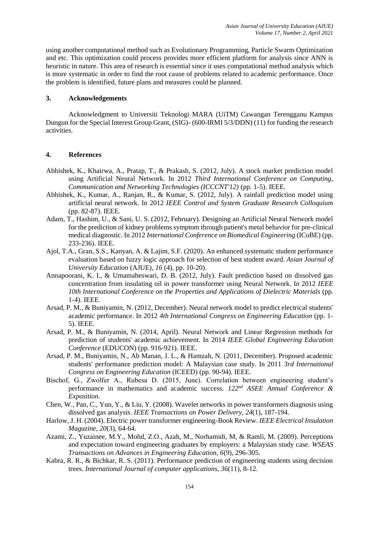using another computational method such as Evolutionary Programming, Particle Swarm Optimization and etc. This optimization could process provides more efficient platform for analysis since ANN is heuristic in nature. This area of research is essential since it uses computational method analysis which is more systematic in order to find the root cause of problems related to academic performance. Once the problem is identified, future plans and measures could be planned.

# **3. Acknowledgements**

Acknowledgment to Universiti Teknologi MARA (UiTM) Cawangan Terengganu Kampus Dungun for the Special Interest Group Grant, (SIG)- (600-IRMI 5/3/DDN) (11) for funding the research activities.

# **4. References**

- Abhishek, K., Khairwa, A., Pratap, T., & Prakash, S. (2012, July). A stock market prediction model using Artificial Neural Network. In 2012 *Third International Conference on Computing, Communication and Networking Technologies (ICCCNT'12)* (pp. 1-5). IEEE.
- Abhishek, K., Kumar, A., Ranjan, R., & Kumar, S. (2012, July). A rainfall prediction model using artificial neural network. In 2012 *IEEE Control and System Graduate Research Colloquium* (pp. 82-87). IEEE.
- Adam, T., Hashim, U., & Sani, U. S. (2012, February). Designing an Artificial Neural Network model for the prediction of kidney problems symptom through patient's metal behavior for pre-clinical medical diagnostic. In 2012 *International Conference on Biomedical Engineering* (ICoBE) (pp. 233-236). IEEE.
- Ajol, T.A., Gran, S.S., Kanyan, A. & Lajim, S.F. (2020). An enhanced systematic student performance evaluation based on fuzzy logic approach for selection of best student award. *Asian Journal of University Education* (AJUE), *16* (4), pp. 10-20).
- Annapoorani, K. I., & Umamaheswari, D. B. (2012, July). Fault prediction based on dissolved gas concentration from insulating oil in power transformer using Neural Network. In 2012 *IEEE 10th International Conference on the Properties and Applications of Dielectric Materials* (pp. 1-4). IEEE.
- Arsad, P. M., & Buniyamin, N. (2012, December). Neural network model to predict electrical students' academic performance. In 2012 *4th International Congress on Engineering Education* (pp. 1- 5). IEEE.
- Arsad, P. M., & Buniyamin, N. (2014, April). Neural Network and Linear Regression methods for prediction of students' academic achievement. In 2014 *IEEE Global Engineering Education Conference* (EDUCON) (pp. 916-921). IEEE.
- Arsad, P. M., Buniyamin, N., Ab Manan, J. L., & Hamzah, N. (2011, December). Proposed academic students' performance prediction model: A Malaysian case study. In 2011 *3rd International Congress on Engineering Education* (ICEED) (pp. 90-94). IEEE.
- Bischof, G., Zwolfer A., Rubesa D. (2015, June). Correlation between engineering student's performance in mathematics and academic success. *122nd ASEE Annual Conference & Exposition.*
- Chen, W., Pan, C., Yun, Y., & Liu, Y. (2008). Wavelet networks in power transformers diagnosis using dissolved gas analysis. *IEEE Transactions on Power Delivery, 24*(1), 187-194.
- Harlow, J. H. (2004). Electric power transformer engineering-Book Review. *IEEE Electrical Insulation Magazine, 20*(3), 64-64.
- Azami, Z., Yuzainee, M.Y., Mohd, Z.O., Azah, M., Norhamidi, M, & Ramli, M. (2009). Perceptions and expectation toward engineering graduates by employers: a Malaysian study case. *WSEAS Transactions on Advances in Engineering Education, 6*(9), 296-305.
- Kabra, R. R., & Bichkar, R. S. (2011). Performance prediction of engineering students using decision trees. *International Journal of computer applications, 36*(11), 8-12.